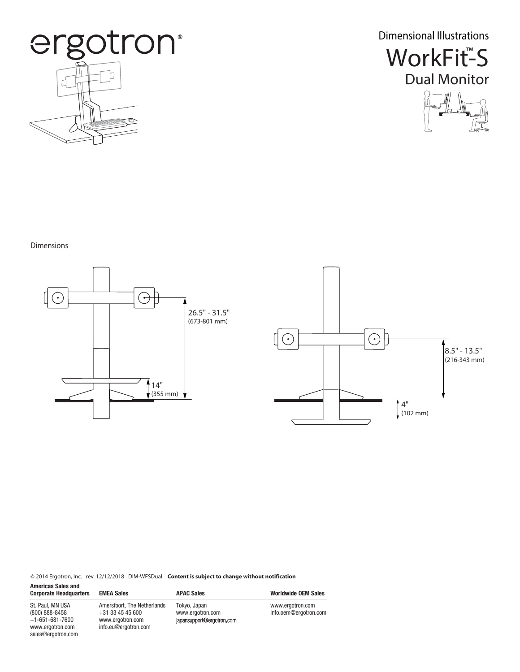

Dimensional Illustrations





## Dimensions





© 2014 Ergotron, Inc. rev. 12/12/2018 DIM-WFSDual **Content is subject to change without notification**

| <b>Americas Sales and</b><br><b>Corporate Headquarters</b>                                              | <b>EMEA Sales</b>                                                                             | <b>APAC Sales</b>                                             | <b>Worldwide OEM Sales</b>                |
|---------------------------------------------------------------------------------------------------------|-----------------------------------------------------------------------------------------------|---------------------------------------------------------------|-------------------------------------------|
| St. Paul. MN USA<br>(800) 888-8458<br>$+1 - 651 - 681 - 7600$<br>www.ergotron.com<br>sales@ergotron.com | Amersfoort, The Netherlands<br>$+31$ 33 45 45 600<br>www.ergotron.com<br>info.eu@ergotron.com | Tokyo, Japan<br>www.ergotron.com<br>japansupport@ergotron.com | www.ergotron.com<br>info.oem@ergotron.com |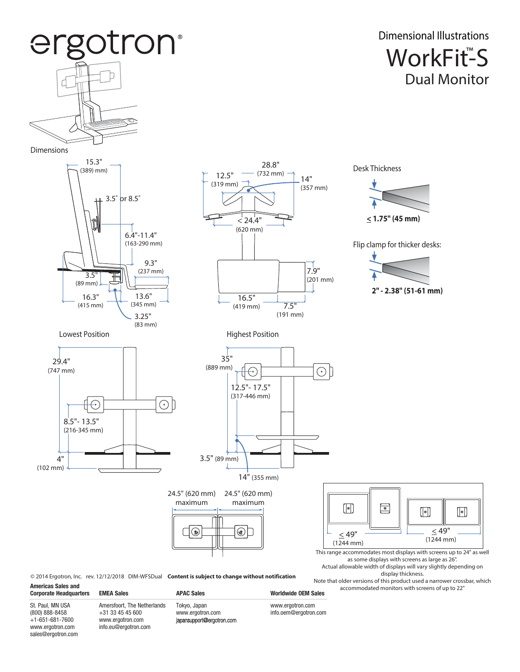

© 2014 Ergotron, Inc. rev. 12/12/2018 DIM-WFSDual **Content is subject to change without notification**

**Americas Sales and** 

**Corporate Headquarters EMEA Sales APAC Sales APAC Sales Worldwide OEM Sales** St. Paul, MN USA (800) 888-8458 +1-651-681-7600 www.ergotron.com sales@ergotron.com Amersfoort, The Netherlands +31 33 45 45 600 www.ergotron.com info.eu@ergotron.com

Tokyo, Japan www.ergotron.com<br>japansupport@ergotron.com

www.ergotron.com info.oem@ergotron.com

Note that older versions of this product used a narrower crossbar, which accommodated monitors with screens of up to 22"